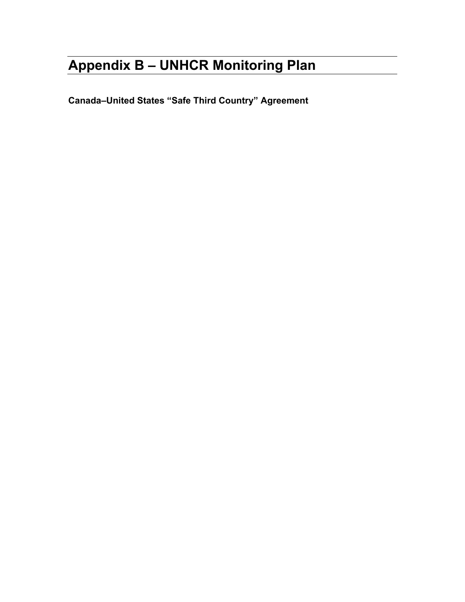# **Appendix B – UNHCR Monitoring Plan**

**Canada–United States "Safe Third Country" Agreement**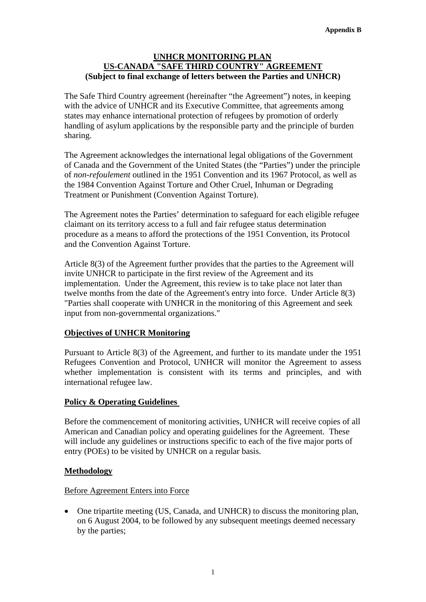## **UNHCR MONITORING PLAN US-CANADA "SAFE THIRD COUNTRY" AGREEMENT (Subject to final exchange of letters between the Parties and UNHCR)**

The Safe Third Country agreement (hereinafter "the Agreement") notes, in keeping with the advice of UNHCR and its Executive Committee, that agreements among states may enhance international protection of refugees by promotion of orderly handling of asylum applications by the responsible party and the principle of burden sharing.

The Agreement acknowledges the international legal obligations of the Government of Canada and the Government of the United States (the "Parties") under the principle of *non-refoulement* outlined in the 1951 Convention and its 1967 Protocol, as well as the 1984 Convention Against Torture and Other Cruel, Inhuman or Degrading Treatment or Punishment (Convention Against Torture).

The Agreement notes the Parties' determination to safeguard for each eligible refugee claimant on its territory access to a full and fair refugee status determination procedure as a means to afford the protections of the 1951 Convention, its Protocol and the Convention Against Torture.

Article 8(3) of the Agreement further provides that the parties to the Agreement will invite UNHCR to participate in the first review of the Agreement and its implementation. Under the Agreement, this review is to take place not later than twelve months from the date of the Agreement's entry into force. Under Article 8(3) "Parties shall cooperate with UNHCR in the monitoring of this Agreement and seek input from non-governmental organizations."

# **Objectives of UNHCR Monitoring**

Pursuant to Article 8(3) of the Agreement, and further to its mandate under the 1951 Refugees Convention and Protocol, UNHCR will monitor the Agreement to assess whether implementation is consistent with its terms and principles, and with international refugee law.

# **Policy & Operating Guidelines**

Before the commencement of monitoring activities, UNHCR will receive copies of all American and Canadian policy and operating guidelines for the Agreement. These will include any guidelines or instructions specific to each of the five major ports of entry (POEs) to be visited by UNHCR on a regular basis.

# **Methodology**

## Before Agreement Enters into Force

• One tripartite meeting (US, Canada, and UNHCR) to discuss the monitoring plan, on 6 August 2004, to be followed by any subsequent meetings deemed necessary by the parties;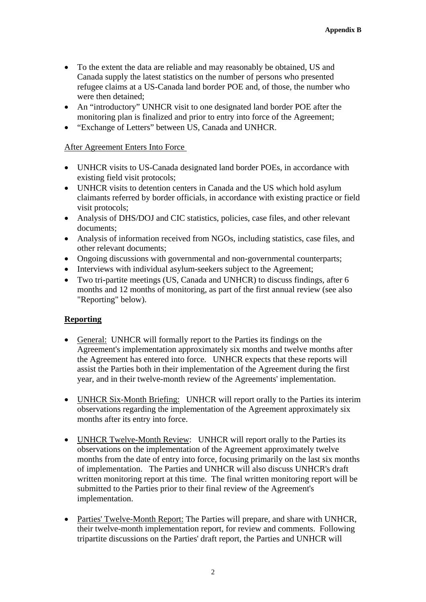- To the extent the data are reliable and may reasonably be obtained, US and Canada supply the latest statistics on the number of persons who presented refugee claims at a US-Canada land border POE and, of those, the number who were then detained;
- An "introductory" UNHCR visit to one designated land border POE after the monitoring plan is finalized and prior to entry into force of the Agreement;
- "Exchange of Letters" between US, Canada and UNHCR.

## After Agreement Enters Into Force

- UNHCR visits to US-Canada designated land border POEs, in accordance with existing field visit protocols;
- UNHCR visits to detention centers in Canada and the US which hold asylum claimants referred by border officials, in accordance with existing practice or field visit protocols;
- Analysis of DHS/DOJ and CIC statistics, policies, case files, and other relevant documents;
- Analysis of information received from NGOs, including statistics, case files, and other relevant documents;
- Ongoing discussions with governmental and non-governmental counterparts;
- Interviews with individual asylum-seekers subject to the Agreement;
- Two tri-partite meetings (US, Canada and UNHCR) to discuss findings, after 6 months and 12 months of monitoring, as part of the first annual review (see also "Reporting" below).

# **Reporting**

- General: UNHCR will formally report to the Parties its findings on the Agreement's implementation approximately six months and twelve months after the Agreement has entered into force. UNHCR expects that these reports will assist the Parties both in their implementation of the Agreement during the first year, and in their twelve-month review of the Agreements' implementation.
- UNHCR Six-Month Briefing: UNHCR will report orally to the Parties its interim observations regarding the implementation of the Agreement approximately six months after its entry into force.
- UNHCR Twelve-Month Review: UNHCR will report orally to the Parties its observations on the implementation of the Agreement approximately twelve months from the date of entry into force, focusing primarily on the last six months of implementation. The Parties and UNHCR will also discuss UNHCR's draft written monitoring report at this time. The final written monitoring report will be submitted to the Parties prior to their final review of the Agreement's implementation.
- Parties' Twelve-Month Report: The Parties will prepare, and share with UNHCR, their twelve-month implementation report, for review and comments. Following tripartite discussions on the Parties' draft report, the Parties and UNHCR will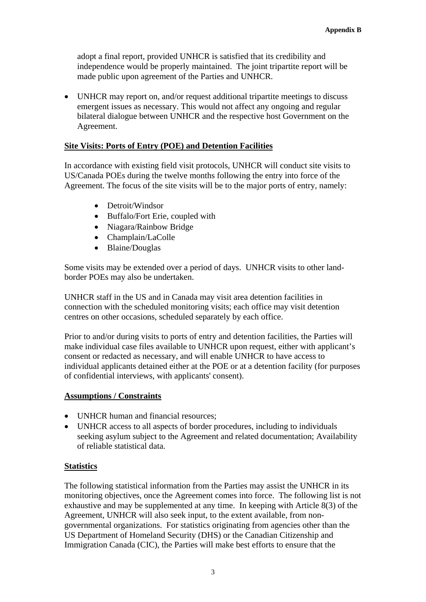adopt a final report, provided UNHCR is satisfied that its credibility and independence would be properly maintained. The joint tripartite report will be made public upon agreement of the Parties and UNHCR.

• UNHCR may report on, and/or request additional tripartite meetings to discuss emergent issues as necessary. This would not affect any ongoing and regular bilateral dialogue between UNHCR and the respective host Government on the Agreement.

## **Site Visits: Ports of Entry (POE) and Detention Facilities**

In accordance with existing field visit protocols, UNHCR will conduct site visits to US/Canada POEs during the twelve months following the entry into force of the Agreement. The focus of the site visits will be to the major ports of entry, namely:

- Detroit/Windsor
- Buffalo/Fort Erie, coupled with
- Niagara/Rainbow Bridge
- Champlain/LaColle
- Blaine/Douglas

Some visits may be extended over a period of days. UNHCR visits to other landborder POEs may also be undertaken.

UNHCR staff in the US and in Canada may visit area detention facilities in connection with the scheduled monitoring visits; each office may visit detention centres on other occasions, scheduled separately by each office.

Prior to and/or during visits to ports of entry and detention facilities, the Parties will make individual case files available to UNHCR upon request, either with applicant's consent or redacted as necessary, and will enable UNHCR to have access to individual applicants detained either at the POE or at a detention facility (for purposes of confidential interviews, with applicants' consent).

## **Assumptions / Constraints**

- UNHCR human and financial resources:
- UNHCR access to all aspects of border procedures, including to individuals seeking asylum subject to the Agreement and related documentation; Availability of reliable statistical data.

#### **Statistics**

The following statistical information from the Parties may assist the UNHCR in its monitoring objectives, once the Agreement comes into force. The following list is not exhaustive and may be supplemented at any time. In keeping with Article 8(3) of the Agreement, UNHCR will also seek input, to the extent available, from nongovernmental organizations. For statistics originating from agencies other than the US Department of Homeland Security (DHS) or the Canadian Citizenship and Immigration Canada (CIC), the Parties will make best efforts to ensure that the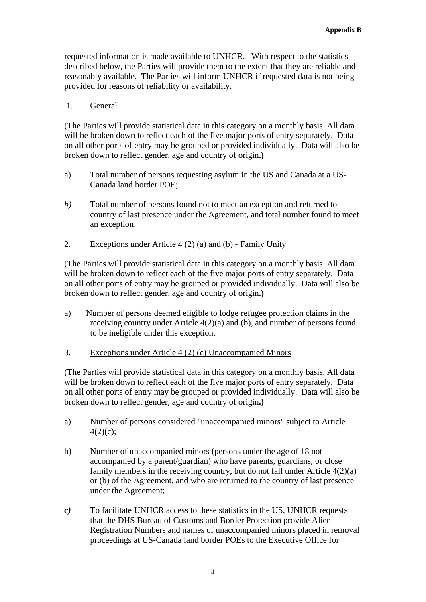requested information is made available to UNHCR. With respect to the statistics described below, the Parties will provide them to the extent that they are reliable and reasonably available. The Parties will inform UNHCR if requested data is not being provided for reasons of reliability or availability.

## 1. General

(The Parties will provide statistical data in this category on a monthly basis. All data will be broken down to reflect each of the five major ports of entry separately. Data on all other ports of entry may be grouped or provided individually. Data will also be broken down to reflect gender, age and country of origin**.)**

- a) Total number of persons requesting asylum in the US and Canada at a US-Canada land border POE;
- *b)* Total number of persons found not to meet an exception and returned to country of last presence under the Agreement, and total number found to meet an exception.

## 2. Exceptions under Article 4 (2) (a) and (b) - Family Unity

(The Parties will provide statistical data in this category on a monthly basis. All data will be broken down to reflect each of the five major ports of entry separately. Data on all other ports of entry may be grouped or provided individually. Data will also be broken down to reflect gender, age and country of origin**.)**

a) Number of persons deemed eligible to lodge refugee protection claims in the receiving country under Article 4(2)(a) and (b), and number of persons found to be ineligible under this exception.

## 3. Exceptions under Article 4 (2) (c) Unaccompanied Minors

(The Parties will provide statistical data in this category on a monthly basis. All data will be broken down to reflect each of the five major ports of entry separately. Data on all other ports of entry may be grouped or provided individually. Data will also be broken down to reflect gender, age and country of origin**.)**

- a) Number of persons considered "unaccompanied minors" subject to Article  $4(2)(c);$
- b) Number of unaccompanied minors (persons under the age of 18 not accompanied by a parent/guardian) who have parents, guardians, or close family members in the receiving country, but do not fall under Article  $4(2)(a)$ or (b) of the Agreement, and who are returned to the country of last presence under the Agreement;
- *c)* To facilitate UNHCR access to these statistics in the US, UNHCR requests that the DHS Bureau of Customs and Border Protection provide Alien Registration Numbers and names of unaccompanied minors placed in removal proceedings at US-Canada land border POEs to the Executive Office for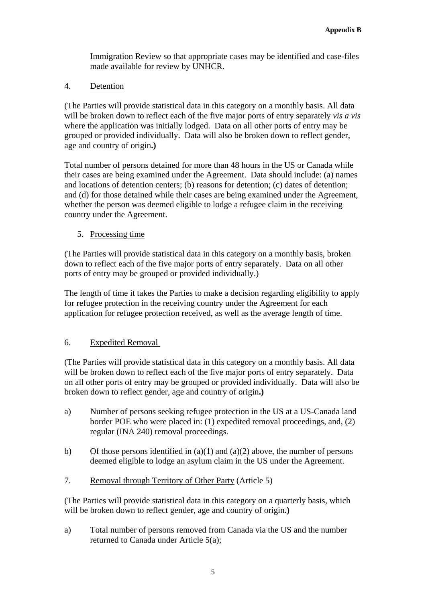Immigration Review so that appropriate cases may be identified and case-files made available for review by UNHCR.

4. Detention

(The Parties will provide statistical data in this category on a monthly basis. All data will be broken down to reflect each of the five major ports of entry separately *vis a vis* where the application was initially lodged. Data on all other ports of entry may be grouped or provided individually. Data will also be broken down to reflect gender, age and country of origin**.)** 

Total number of persons detained for more than 48 hours in the US or Canada while their cases are being examined under the Agreement. Data should include: (a) names and locations of detention centers; (b) reasons for detention; (c) dates of detention; and (d) for those detained while their cases are being examined under the Agreement, whether the person was deemed eligible to lodge a refugee claim in the receiving country under the Agreement.

5. Processing time

(The Parties will provide statistical data in this category on a monthly basis, broken down to reflect each of the five major ports of entry separately. Data on all other ports of entry may be grouped or provided individually.)

The length of time it takes the Parties to make a decision regarding eligibility to apply for refugee protection in the receiving country under the Agreement for each application for refugee protection received, as well as the average length of time.

# 6. Expedited Removal

(The Parties will provide statistical data in this category on a monthly basis. All data will be broken down to reflect each of the five major ports of entry separately. Data on all other ports of entry may be grouped or provided individually. Data will also be broken down to reflect gender, age and country of origin**.)**

- a) Number of persons seeking refugee protection in the US at a US-Canada land border POE who were placed in: (1) expedited removal proceedings, and, (2) regular (INA 240) removal proceedings.
- b) Of those persons identified in (a)(1) and (a)(2) above, the number of persons deemed eligible to lodge an asylum claim in the US under the Agreement.
- 7. Removal through Territory of Other Party (Article 5)

(The Parties will provide statistical data in this category on a quarterly basis, which will be broken down to reflect gender, age and country of origin**.)**

a) Total number of persons removed from Canada via the US and the number returned to Canada under Article 5(a);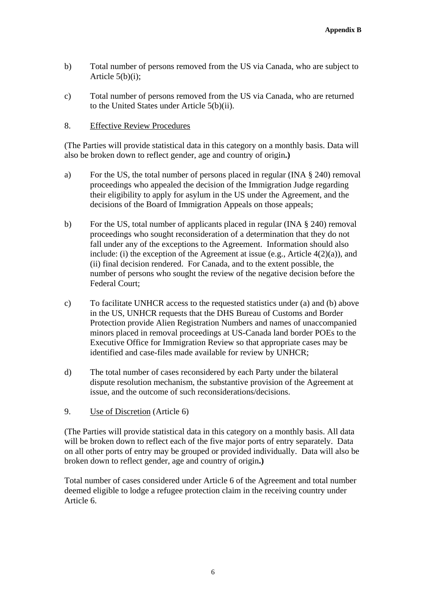- b) Total number of persons removed from the US via Canada, who are subject to Article 5(b)(i);
- c) Total number of persons removed from the US via Canada, who are returned to the United States under Article 5(b)(ii).

## 8. Effective Review Procedures

(The Parties will provide statistical data in this category on a monthly basis. Data will also be broken down to reflect gender, age and country of origin**.)**

- a) For the US, the total number of persons placed in regular (INA § 240) removal proceedings who appealed the decision of the Immigration Judge regarding their eligibility to apply for asylum in the US under the Agreement, and the decisions of the Board of Immigration Appeals on those appeals;
- b) For the US, total number of applicants placed in regular (INA § 240) removal proceedings who sought reconsideration of a determination that they do not fall under any of the exceptions to the Agreement. Information should also include: (i) the exception of the Agreement at issue (e.g., Article  $4(2)(a)$ ), and (ii) final decision rendered. For Canada, and to the extent possible, the number of persons who sought the review of the negative decision before the Federal Court;
- c) To facilitate UNHCR access to the requested statistics under (a) and (b) above in the US, UNHCR requests that the DHS Bureau of Customs and Border Protection provide Alien Registration Numbers and names of unaccompanied minors placed in removal proceedings at US-Canada land border POEs to the Executive Office for Immigration Review so that appropriate cases may be identified and case-files made available for review by UNHCR;
- d) The total number of cases reconsidered by each Party under the bilateral dispute resolution mechanism, the substantive provision of the Agreement at issue, and the outcome of such reconsiderations/decisions.
- 9. Use of Discretion (Article 6)

(The Parties will provide statistical data in this category on a monthly basis. All data will be broken down to reflect each of the five major ports of entry separately. Data on all other ports of entry may be grouped or provided individually. Data will also be broken down to reflect gender, age and country of origin**.)**

Total number of cases considered under Article 6 of the Agreement and total number deemed eligible to lodge a refugee protection claim in the receiving country under Article 6.